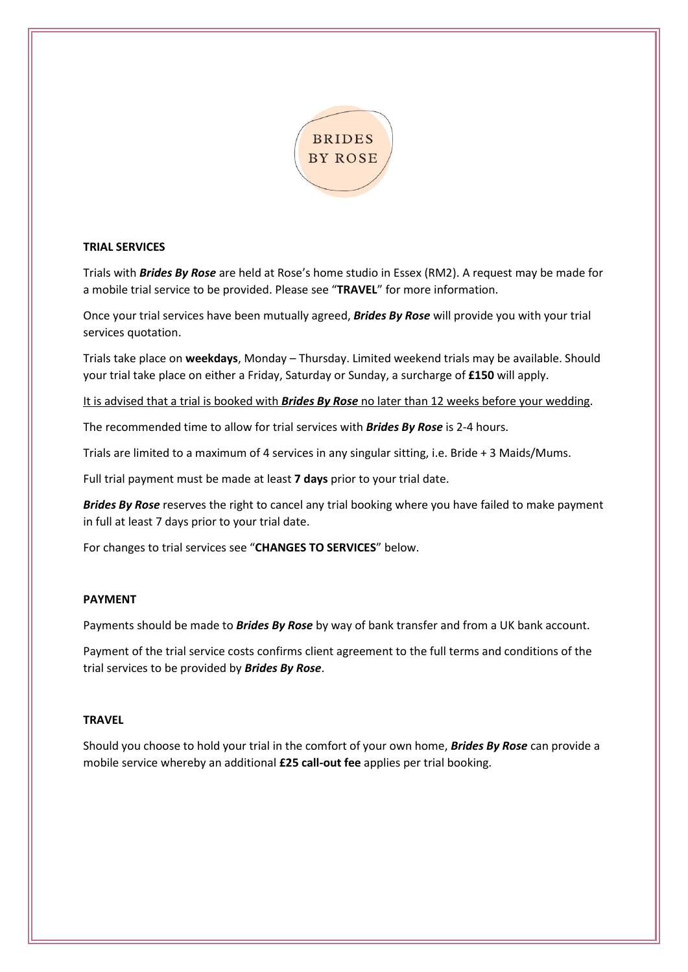

# **TRIAL SERVICES**

Trials with *Brides By Rose* are held at Rose's home studio in Essex (RM2). A request may be made for a mobile trial service to be provided. Please see "**TRAVEL**" for more information.

Once your trial services have been mutually agreed, *Brides By Rose* will provide you with your trial services quotation.

Trials take place on **weekdays**, Monday – Thursday. Limited weekend trials may be available. Should your trial take place on either a Friday, Saturday or Sunday, a surcharge of **£150** will apply.

It is advised that a trial is booked with *Brides By Rose* no later than 12 weeks before your wedding.

The recommended time to allow for trial services with *Brides By Rose* is 2-4 hours.

Trials are limited to a maximum of 4 services in any singular sitting, i.e. Bride + 3 Maids/Mums.

Full trial payment must be made at least **7 days** prior to your trial date.

*Brides By Rose* reserves the right to cancel any trial booking where you have failed to make payment in full at least 7 days prior to your trial date.

For changes to trial services see "**CHANGES TO SERVICES**" below.

# **PAYMENT**

Payments should be made to *Brides By Rose* by way of bank transfer and from a UK bank account.

Payment of the trial service costs confirms client agreement to the full terms and conditions of the trial services to be provided by *Brides By Rose*.

# **TRAVEL**

Should you choose to hold your trial in the comfort of your own home, *Brides By Rose* can provide a mobile service whereby an additional **£25 call-out fee** applies per trial booking.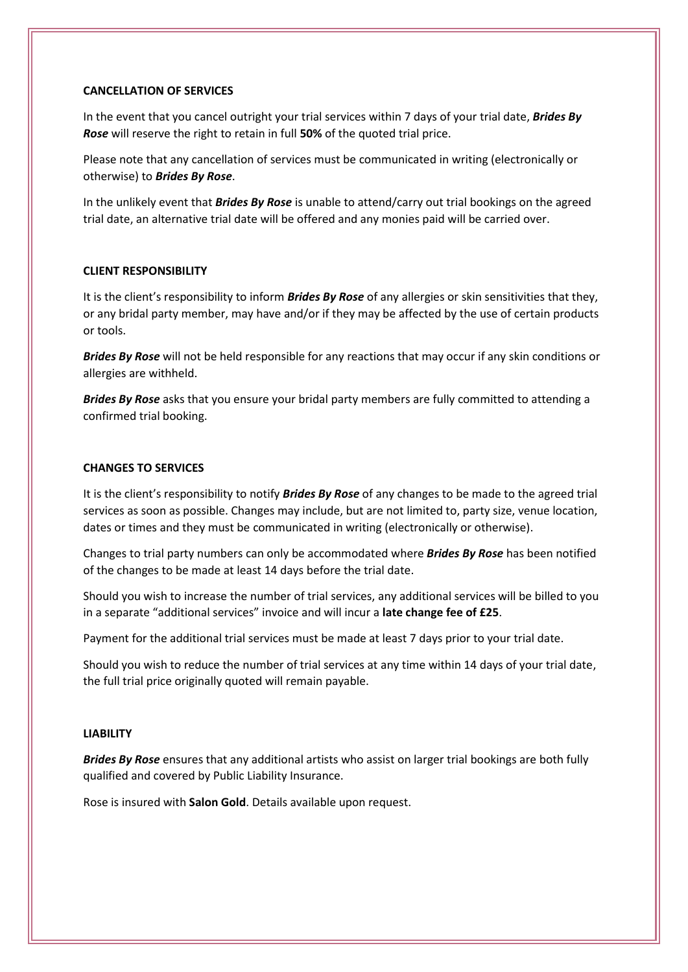#### **CANCELLATION OF SERVICES**

In the event that you cancel outright your trial services within 7 days of your trial date, *Brides By Rose* will reserve the right to retain in full **50%** of the quoted trial price.

Please note that any cancellation of services must be communicated in writing (electronically or otherwise) to *Brides By Rose*.

In the unlikely event that *Brides By Rose* is unable to attend/carry out trial bookings on the agreed trial date, an alternative trial date will be offered and any monies paid will be carried over.

## **CLIENT RESPONSIBILITY**

It is the client's responsibility to inform *Brides By Rose* of any allergies or skin sensitivities that they, or any bridal party member, may have and/or if they may be affected by the use of certain products or tools.

*Brides By Rose* will not be held responsible for any reactions that may occur if any skin conditions or allergies are withheld.

*Brides By Rose* asks that you ensure your bridal party members are fully committed to attending a confirmed trial booking.

## **CHANGES TO SERVICES**

It is the client's responsibility to notify *Brides By Rose* of any changes to be made to the agreed trial services as soon as possible. Changes may include, but are not limited to, party size, venue location, dates or times and they must be communicated in writing (electronically or otherwise).

Changes to trial party numbers can only be accommodated where *Brides By Rose* has been notified of the changes to be made at least 14 days before the trial date.

Should you wish to increase the number of trial services, any additional services will be billed to you in a separate "additional services" invoice and will incur a **late change fee of £25**.

Payment for the additional trial services must be made at least 7 days prior to your trial date.

Should you wish to reduce the number of trial services at any time within 14 days of your trial date, the full trial price originally quoted will remain payable.

#### **LIABILITY**

*Brides By Rose* ensures that any additional artists who assist on larger trial bookings are both fully qualified and covered by Public Liability Insurance.

Rose is insured with **Salon Gold**. Details available upon request.